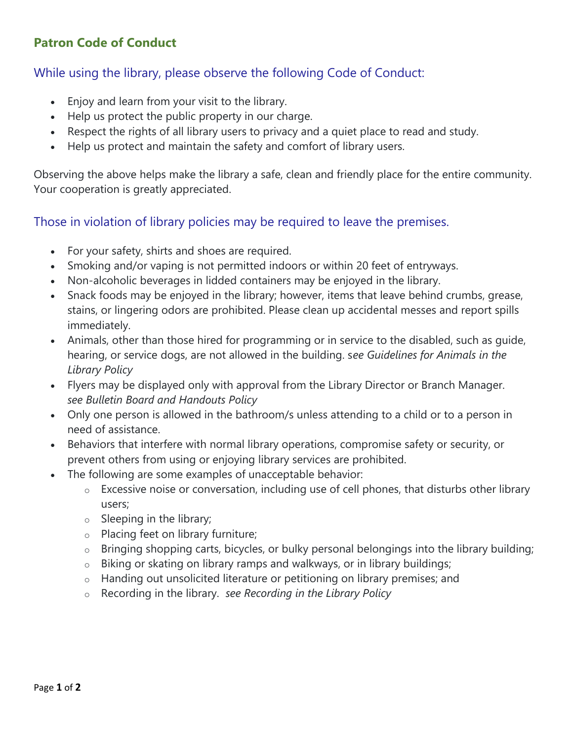## **Patron Code of Conduct**

#### While using the library, please observe the following Code of Conduct:

- Enjoy and learn from your visit to the library.
- Help us protect the public property in our charge.
- Respect the rights of all library users to privacy and a quiet place to read and study.
- Help us protect and maintain the safety and comfort of library users.

Observing the above helps make the library a safe, clean and friendly place for the entire community. Your cooperation is greatly appreciated.

#### Those in violation of library policies may be required to leave the premises.

- For your safety, shirts and shoes are required.
- Smoking and/or vaping is not permitted indoors or within 20 feet of entryways.
- Non-alcoholic beverages in lidded containers may be enjoyed in the library.
- Snack foods may be enjoyed in the library; however, items that leave behind crumbs, grease, stains, or lingering odors are prohibited. Please clean up accidental messes and report spills immediately.
- Animals, other than those hired for programming or in service to the disabled, such as guide, hearing, or service dogs, are not allowed in the building. s*ee Guidelines for Animals in the Library Policy*
- Flyers may be displayed only with approval from the Library Director or Branch Manager. *see Bulletin Board and Handouts Policy*
- Only one person is allowed in the bathroom/s unless attending to a child or to a person in need of assistance.
- Behaviors that interfere with normal library operations, compromise safety or security, or prevent others from using or enjoying library services are prohibited.
- The following are some examples of unacceptable behavior:
	- o Excessive noise or conversation, including use of cell phones, that disturbs other library users;
	- $\circ$  Sleeping in the library;
	- o Placing feet on library furniture;
	- $\circ$  Bringing shopping carts, bicycles, or bulky personal belongings into the library building;
	- o Biking or skating on library ramps and walkways, or in library buildings;
	- o Handing out unsolicited literature or petitioning on library premises; and
	- o Recording in the library. *see Recording in the Library Policy*